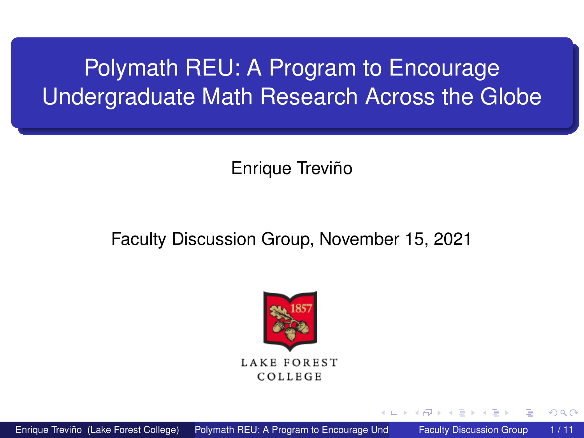# <span id="page-0-0"></span>Polymath REU: A Program to Encourage Undergraduate Math Research Across the Globe

Enrique Treviño

#### Faculty Discussion Group, November 15, 2021



Enrique Treviño (Lake Forest College) Polymath REU: A Program to Encourage Und Faculty Discussion Group 1/11

4 0 5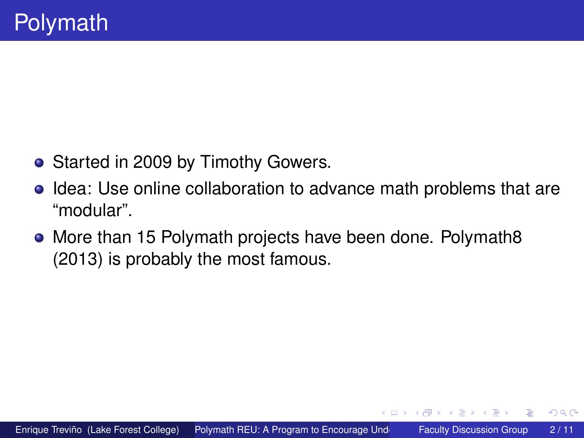- Started in 2009 by Timothy Gowers.
- **Idea: Use online collaboration to advance math problems that are** "modular".
- More than 15 Polymath projects have been done. Polymath8 (2013) is probably the most famous.

4 D.K.

Brand B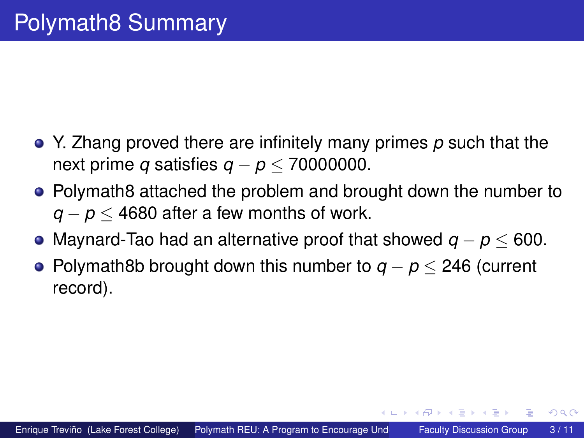- Y. Zhang proved there are infinitely many primes *p* such that the next prime *q* satisfies *q* − *p* ≤ 70000000.
- Polymath8 attached the problem and brought down the number to *q* − *p* < 4680 after a few months of work.
- Maynard-Tao had an alternative proof that showed *q* − *p* ≤ 600.
- Polymath8b brought down this number to *q* − *p* ≤ 246 (current record).

医单位 医单

4 D > 4 O +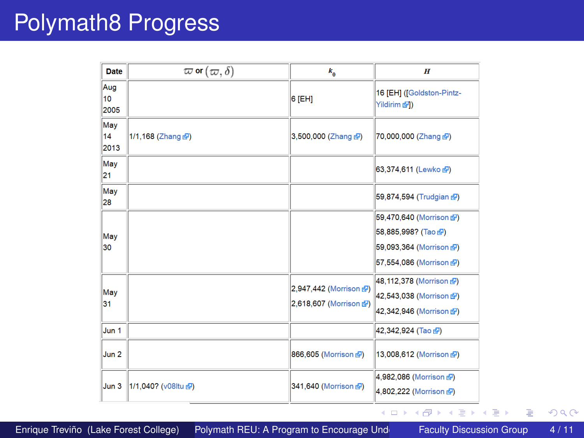| <b>Date</b>       | $\varpi$ or $(\varpi,\delta)$ | $k_{0}$                                          | H                                                                                                     |
|-------------------|-------------------------------|--------------------------------------------------|-------------------------------------------------------------------------------------------------------|
| Aug<br>10<br>2005 |                               | 6 [EH]                                           | 16 [EH] ([Goldston-Pintz-<br>Yildirim 图)                                                              |
| May<br>14<br>2013 | 1/1,168 (Zhang &)             | 3,500,000 (Zhang &)                              | 70,000,000 (Zhang &)                                                                                  |
| May<br>21         |                               |                                                  | 63,374,611 (Lewko @)                                                                                  |
| May<br>28         |                               |                                                  | 59,874,594 (Trudgian &)                                                                               |
| May<br>30         |                               |                                                  | 59,470,640 (Morrison &)<br>58,885,998? (Tao re)<br>59,093,364 (Morrison &)<br>57,554,086 (Morrison &) |
| May<br>31         |                               | 2,947,442 (Morrison 图)<br>2,618,607 (Morrison &) | 48,112,378 (Morrison 图)<br>42,543,038 (Morrison 图)<br>42,342,946 (Morrison &)                         |
| Jun 1             |                               |                                                  | 42,342,924 (Tao ra)                                                                                   |
| Jun 2             |                               | 866,605 (Morrison &)                             | 13,008,612 (Morrison 图)                                                                               |
| Jun 3             | 1/1,040? (v08ltu 图)           | 341,640 (Morrison &)                             | 4,982,086 (Morrison 图)<br>4,802,222 (Morrison &)                                                      |

Enrique Treviño (Lake Forest College) Polymath REU: A Program to Encourage Und Faculty Discussion Group 4 / 11

←ロト ←部 ト ←語 ト ←語

重

 $\rightarrow$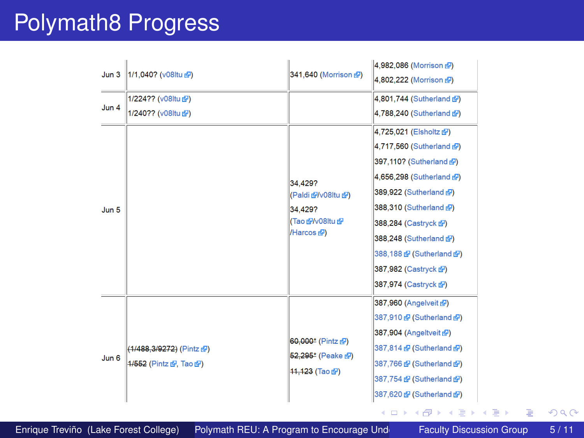| Jun 3<br>Jun 4 | 1/1,040? (v08ltu 图)<br>1/224?? (v08ltu 图)<br>1/240?? (v08ltu 图) | 341,640 (Morrison &)                                         | 4,982,086 (Morrison &)<br>4,802,222 (Morrison &)<br>4,801,744 (Sutherland &)<br>4,788,240 (Sutherland &)                                                                                                                                                                                    |
|----------------|-----------------------------------------------------------------|--------------------------------------------------------------|---------------------------------------------------------------------------------------------------------------------------------------------------------------------------------------------------------------------------------------------------------------------------------------------|
| Jun 5          |                                                                 | 34.429?<br>(Paldi 图/v08ltu 图)<br>34.4297<br>(Tao dVv08Itu dP | 4,725,021 (Elsholtz 图)<br>4,717,560 (Sutherland &)<br>397,110? (Sutherland &)<br>4,656,298 (Sutherland &)<br>389,922 (Sutherland &)<br>388,310 (Sutherland &)<br>388,284 (Castryck 图)<br>388,248 (Sutherland &)<br>388,188 图 (Sutherland 图)<br>387,982 (Castryck &)<br>387,974 (Castryck 图) |
| Jun 6          | (1/488, 3/9272) (Pintz 图)<br>1/552 (Pintz 图, Tao 图)             | 60,000* (Pintz &)<br>52,295* (Peake &)<br>44,423 (Tao re)    | 387,960 (Angelveit 图)<br>387,910 图 (Sutherland 图)<br>387,904 (Angeltveit &)<br>387,814 @ (Sutherland @)<br>387,766 @ (Sutherland @)<br>387,754 @ (Sutherland @)<br>387,620 @ (Sutherland @)                                                                                                 |

Enrique Treviño (Lake Forest College) Polymath REU: A Program to Encourage Und Faculty Discussion Group 5 / 11

メロトメ 御 トメ 君 トメ 君 トッ 君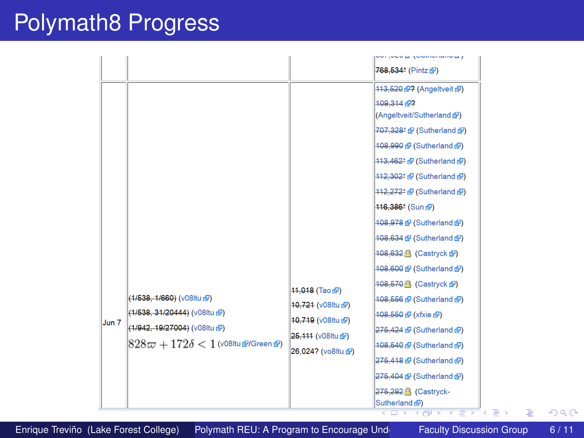|                                                | vvijvavis (veenumentis s                       |  |  |
|------------------------------------------------|------------------------------------------------|--|--|
|                                                | 768,534 <sup>±</sup> (Pintz @)                 |  |  |
|                                                | 113,520 图? (Angeltveit 图)                      |  |  |
|                                                | 109.314                                        |  |  |
|                                                | (Angeltveit/Sutherland 图)                      |  |  |
|                                                | 707,328 <sup>*</sup> 图 (Sutherland 图)          |  |  |
|                                                | 408,990 图 (Sutherland 图)                       |  |  |
|                                                | 113,462 <sup>*</sup> 图 (Sutherland 图)          |  |  |
|                                                | 442,302* 图 (Sutherland 图)                      |  |  |
|                                                | 112,272* @ (Sutherland @)                      |  |  |
|                                                | 416,386 <sup>*</sup> (Sun d <sup>2</sup> )     |  |  |
|                                                | 108,978 @ (Sutherland 图)                       |  |  |
|                                                | 108,634 @ (Sutherland @)                       |  |  |
|                                                | 108,632 (Castryck 图)                           |  |  |
|                                                | 108,600 @ (Sutherland @)                       |  |  |
|                                                | 108,570 (Castryck 图)<br>$ 44,048($ Tao r $ $   |  |  |
| (1/538, 1/660) (v08ltu r.                      | 108,556 图 (Sutherland 图)<br>40,721 (v08ltu &)  |  |  |
| (1/538, 31/20444) (v08ltu &)                   | 408,550 图 (xfxie 图)<br>40,719 (v08ltu &)       |  |  |
| Jun 7<br>(1/942, 19/27004) (v08ltu &)          | 275,424 @ (Sutherland @)<br>25,111 (v08ltu &)  |  |  |
| $828\varpi + 172\delta < 1$ (v08ltu @/Green @) | 108,540 图 (Sutherland 图)                       |  |  |
|                                                | 26,024? (vo8ltu 图)<br>275,418 图 (Sutherland 图) |  |  |
|                                                | 275,404 @ (Sutherland @)                       |  |  |
|                                                | 275,292 (Castryck-                             |  |  |
|                                                | Sutherland &<br>∍<br><b>OD 3 (PD 3 3 3 )</b>   |  |  |

Enrique Treviño (Lake Forest College) Polymath REU: A Program to Encourage Und<br>
Faculty Discussion Group 6 / 11

重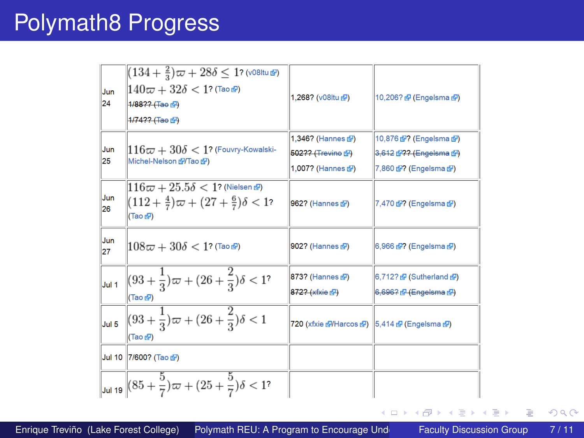| Jun<br>24 | $(134 + \frac{2}{3})\varpi + 28\delta \leq 1$ ? (v08ltu @)<br>$140\varpi + 32\delta < 1$ ? (Tao @)<br>1/88?? (Tae d <sup>2</sup> )<br>4/74?? (Tae d <sup>2</sup> ) | 1.268? (v08ltu &)                               | 10,206? 图 (Engelsma 图)                           |
|-----------|--------------------------------------------------------------------------------------------------------------------------------------------------------------------|-------------------------------------------------|--------------------------------------------------|
| Jun       | $116\varpi + 30\delta < 1$ ? (Fouvry-Kowalski-<br>Michel-Nelson &Tao &)                                                                                            | 1,346? (Hannes 图)                               | 10,876 图? (Engelsma 图)                           |
| 25        |                                                                                                                                                                    | 502?? (Trevine 图)                               | 3,612 6 ?? (Engelsma 6)                          |
|           |                                                                                                                                                                    | 1,007? (Hannes 图)                               | 7,860 @? (Engelsma @)                            |
| Jun<br>26 | $116\varpi + 25.5\delta < 1$ ? (Nielsen &)<br>$(112 + \frac{4}{7})\varpi + (27 + \frac{6}{7})\delta < 12$<br>(Tao re)                                              | 962? (Hannes <sup>(2)</sup>                     | 7,470 图? (Engelsma 图)                            |
| Jun<br>27 | $108\varpi + 30\delta < 1$ ? (Tao &)                                                                                                                               | 902? (Hannes 图)                                 | 6,966 图? (Engelsma 图)                            |
| Jul 1     | $(93 + \frac{1}{3})\varpi + (26 + \frac{2}{3})\delta < 1$ ?<br>(Tao re)                                                                                            | 873? (Hannes &)<br>872? (xfxie r <sup>2</sup> ) | 6,712? 图 (Sutherland 图)<br>6,696? 图 (Engelsma 图) |
| Jul 5     | $(93 + \frac{1}{3})\varpi + (26 + \frac{2}{3})\delta < 1$<br>(Tao ra)                                                                                              | 720 (xfxie 图/Harcos 图) 5,414 图 (Engelsma 图)     |                                                  |
|           | Jul 10 7/600? (Tao &)                                                                                                                                              |                                                 |                                                  |
|           | Jul 19 $(85 + \frac{5}{7})\overline{\omega} + (25 + \frac{5}{7})\delta < 1$ ?                                                                                      |                                                 |                                                  |

 $299$ 

重

 $\rightarrow$ 

←ロト ←部 ト ←語 ト ←語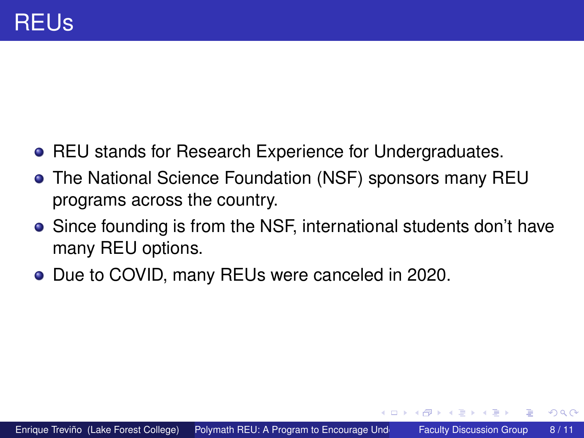- **REU stands for Research Experience for Undergraduates.**
- The National Science Foundation (NSF) sponsors many REU programs across the country.
- Since founding is from the NSF, international students don't have many REU options.
- Due to COVID, many REUs were canceled in 2020.

4 D.K.

Brand B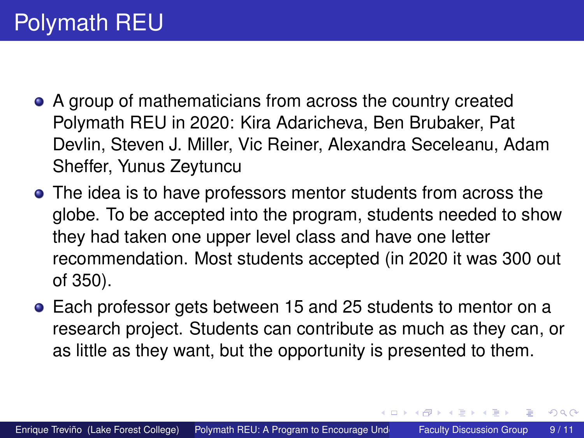- A group of mathematicians from across the country created Polymath REU in 2020: Kira Adaricheva, Ben Brubaker, Pat Devlin, Steven J. Miller, Vic Reiner, Alexandra Seceleanu, Adam Sheffer, Yunus Zeytuncu
- The idea is to have professors mentor students from across the globe. To be accepted into the program, students needed to show they had taken one upper level class and have one letter recommendation. Most students accepted (in 2020 it was 300 out of 350).
- Each professor gets between 15 and 25 students to mentor on a research project. Students can contribute as much as they can, or as little as they want, but the opportunity is presented to them.

4 ロ ト ィ *同* ト

化重新分离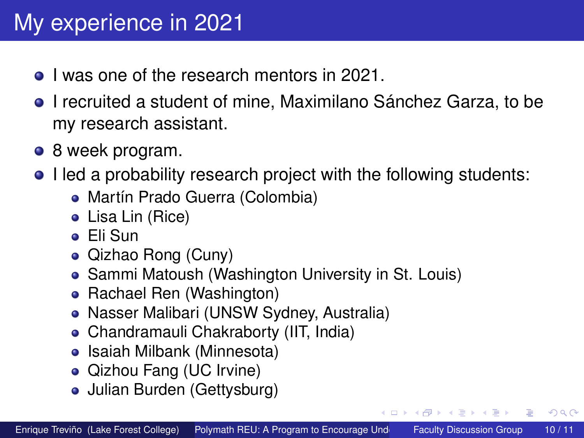# My experience in 2021

- **I** was one of the research mentors in 2021.
- **I** recruited a student of mine, Maximilano Sánchez Garza, to be my research assistant.
- 8 week program.
- I led a probability research project with the following students:
	- Martín Prado Guerra (Colombia)
	- Lisa Lin (Rice)
	- Eli Sun
	- Qizhao Rong (Cuny)
	- Sammi Matoush (Washington University in St. Louis)
	- Rachael Ren (Washington)
	- Nasser Malibari (UNSW Sydney, Australia)
	- Chandramauli Chakraborty (IIT, India)
	- Isaiah Milbank (Minnesota)
	- Qizhou Fang (UC Irvine)
	- Julian Burden (Gettysburg)

4 ロ ト ィ *同* ト

 $A \equiv 0.4 \equiv$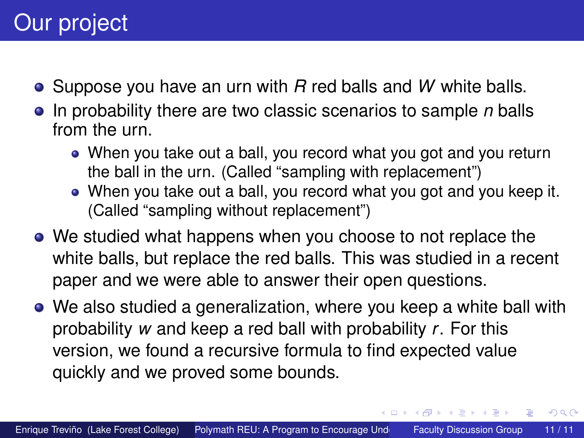## <span id="page-10-0"></span>Our project

- Suppose you have an urn with *R* red balls and *W* white balls.
- In probability there are two classic scenarios to sample *n* balls from the urn.
	- When you take out a ball, you record what you got and you return the ball in the urn. (Called "sampling with replacement")
	- When you take out a ball, you record what you got and you keep it. (Called "sampling without replacement")
- We studied what happens when you choose to not replace the white balls, but replace the red balls. This was studied in a recent paper and we were able to answer their open questions.
- We also studied a generalization, where you keep a white ball with probability *w* and keep a red ball with probability *r*. For this version, we found a recursive formula to find expected value quickly and we proved some bounds.

イロト イ押 トイラト イラト

Þ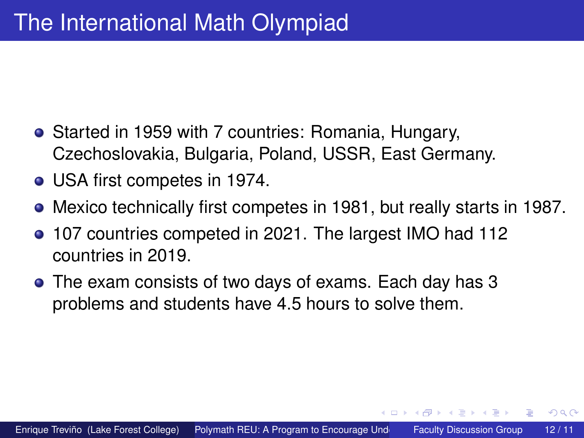- Started in 1959 with 7 countries: Romania, Hungary, Czechoslovakia, Bulgaria, Poland, USSR, East Germany.
- USA first competes in 1974.
- Mexico technically first competes in 1981, but really starts in 1987.
- 107 countries competed in 2021. The largest IMO had 112 countries in 2019.
- The exam consists of two days of exams. Each day has 3 problems and students have 4.5 hours to solve them.

4 D.K.

**ALCOHOL:**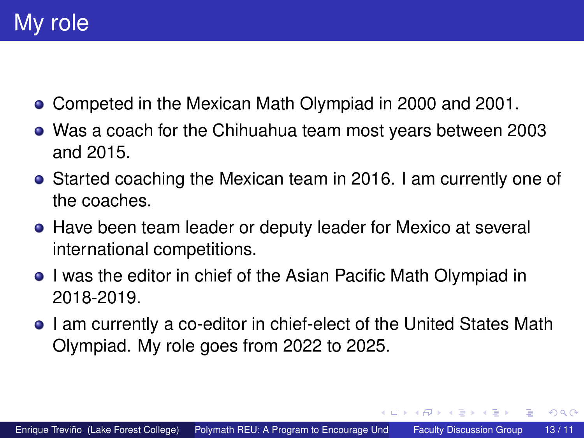- Competed in the Mexican Math Olympiad in 2000 and 2001.
- Was a coach for the Chihuahua team most years between 2003 and 2015.
- Started coaching the Mexican team in 2016. I am currently one of the coaches.
- Have been team leader or deputy leader for Mexico at several international competitions.
- **I** was the editor in chief of the Asian Pacific Math Olympiad in 2018-2019.
- **•** I am currently a co-editor in chief-elect of the United States Math Olympiad. My role goes from 2022 to 2025.

4 ロ ト ィ *同* ト

化重新分离